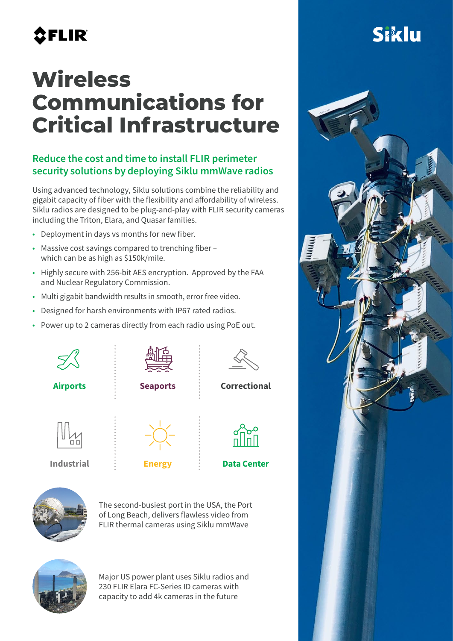# **AFLIR**

## **Wireless Communications for Critical Infrastructure**

#### Reduce the cost and time to install FLIR perimeter security solutions by deploying Siklu mmWave radios

Using advanced technology, Siklu solutions combine the reliability and gigabit capacity of fiber with the flexibility and affordability of wireless. Siklu radios are designed to be plug-and-play with FLIR security cameras including the Triton, Elara, and Quasar families.

- Deployment in days vs months for new fiber.
- Massive cost savings compared to trenching fiber which can be as high as \$150k/mile.
- Highly secure with 256-bit AES encryption. Approved by the FAA and Nuclear Regulatory Commission.
- Multi gigabit bandwidth results in smooth, error free video.
- Designed for harsh environments with IP67 rated radios.
- Power up to 2 cameras directly from each radio using PoE out.





The second-busiest port in the USA, the Port of Long Beach, delivers flawless video from FLIR thermal cameras using Siklu mmWave



Major US power plant uses Siklu radios and 230 FLIR Elara FC-Series ID cameras with capacity to add 4k cameras in the future

# Siklu